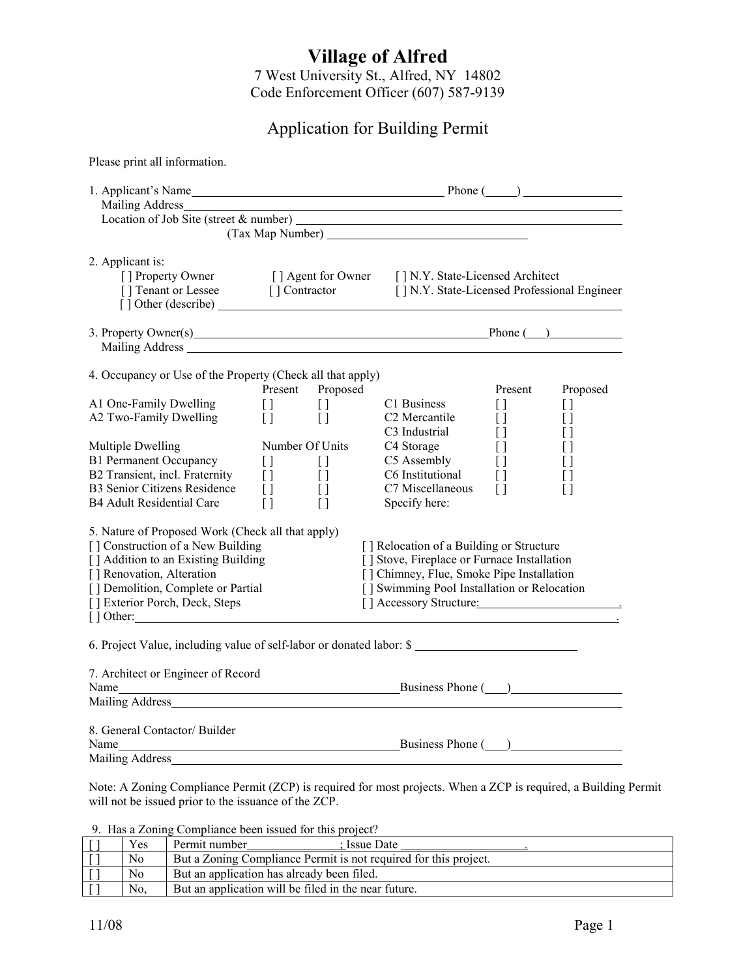## **Village of Alfred**

7 West University St., Alfred, NY 14802 Code Enforcement Officer (607) 587-9139

## Application for Building Permit

| Please print all information.                                                                                                                                                                                                                                                                                                                                                                                                                                                                                                          |                                                                                                              |                                                                                                                    |                                                                                                                                                                                                                                                                                                                                                                   |                                                                                                                                                                                             |                                                                                                                         |  |  |  |
|----------------------------------------------------------------------------------------------------------------------------------------------------------------------------------------------------------------------------------------------------------------------------------------------------------------------------------------------------------------------------------------------------------------------------------------------------------------------------------------------------------------------------------------|--------------------------------------------------------------------------------------------------------------|--------------------------------------------------------------------------------------------------------------------|-------------------------------------------------------------------------------------------------------------------------------------------------------------------------------------------------------------------------------------------------------------------------------------------------------------------------------------------------------------------|---------------------------------------------------------------------------------------------------------------------------------------------------------------------------------------------|-------------------------------------------------------------------------------------------------------------------------|--|--|--|
| 1. Applicant's Name Phone (2012)                                                                                                                                                                                                                                                                                                                                                                                                                                                                                                       |                                                                                                              |                                                                                                                    |                                                                                                                                                                                                                                                                                                                                                                   |                                                                                                                                                                                             |                                                                                                                         |  |  |  |
| 2. Applicant is:<br>[] Property Owner [] Agent for Owner [] N.Y. State-Licensed Architect<br>[] Tenant or Lessee [] Contractor [] N.Y. State-Licensed Professional Engineer                                                                                                                                                                                                                                                                                                                                                            |                                                                                                              |                                                                                                                    |                                                                                                                                                                                                                                                                                                                                                                   |                                                                                                                                                                                             |                                                                                                                         |  |  |  |
| 3. Property Owner(s) Phone (2014)                                                                                                                                                                                                                                                                                                                                                                                                                                                                                                      |                                                                                                              |                                                                                                                    |                                                                                                                                                                                                                                                                                                                                                                   |                                                                                                                                                                                             |                                                                                                                         |  |  |  |
| 4. Occupancy or Use of the Property (Check all that apply)<br>A1 One-Family Dwelling<br>A2 Two-Family Dwelling<br>Multiple Dwelling<br><b>B1 Permanent Occupancy</b><br>B2 Transient, incl. Fraternity<br><b>B3 Senior Citizens Residence</b><br><b>B4 Adult Residential Care</b><br>5. Nature of Proposed Work (Check all that apply)<br>[] Construction of a New Building<br>[ ] Addition to an Existing Building<br>[] Renovation, Alteration<br>[] Demolition, Complete or Partial<br>[] Exterior Porch, Deck, Steps<br>$[$ dther: | Present<br>$\begin{bmatrix} 1 \\ 1 \end{bmatrix}$<br>Number Of Units<br>$\Box$<br>$\Box$<br>$\Box$<br>$\Box$ | Proposed<br>$\begin{bmatrix} 1 & 1 \\ 1 & 1 \end{bmatrix}$<br>$\tilde{1}$<br>$\Box$<br>$[ \ ]$<br>$\Box$<br>$\Box$ | C1 Business<br>C <sub>2</sub> Mercantile<br>C3 Industrial<br>C4 Storage<br>C5 Assembly<br>C6 Institutional<br>C7 Miscellaneous<br>Specify here:<br>[] Relocation of a Building or Structure<br>[] Stove, Fireplace or Furnace Installation<br>[] Chimney, Flue, Smoke Pipe Installation<br>[] Swimming Pool Installation or Relocation<br>[] Accessory Structure: | Present<br>$\begin{array}{c} \square \end{array}$<br>$\begin{bmatrix} 1 \end{bmatrix}$<br>$\begin{array}{c} \square \end{array}$<br>$\lceil \rceil$<br>$\Box$<br>$[ \ ]$<br>$\lceil \rceil$ | Proposed<br>$[ \ ]$<br>$\Box$<br>$\lceil$ $\rceil$<br>Ħ<br>$\lceil$ $\rceil$<br>$\lceil$ $\rceil$<br>$\left[ \ \right]$ |  |  |  |
| 6. Project Value, including value of self-labor or donated labor: \$<br>7. Architect or Engineer of Record<br>Mailing Address has a state of the state of the state of the state of the state of the state of the state of the state of the state of the state of the state of the state of the state of the state of the state of the state                                                                                                                                                                                           |                                                                                                              |                                                                                                                    |                                                                                                                                                                                                                                                                                                                                                                   |                                                                                                                                                                                             |                                                                                                                         |  |  |  |
| 8. General Contactor/Builder<br>Name Business Phone (2002)                                                                                                                                                                                                                                                                                                                                                                                                                                                                             |                                                                                                              |                                                                                                                    |                                                                                                                                                                                                                                                                                                                                                                   |                                                                                                                                                                                             |                                                                                                                         |  |  |  |

Note: A Zoning Compliance Permit (ZCP) is required for most projects. When a ZCP is required, a Building Permit will not be issued prior to the issuance of the ZCP.

9. Has a Zoning Compliance been issued for this project?

| Yes. | Permit number<br>: Issue Date                                    |
|------|------------------------------------------------------------------|
| No   | But a Zoning Compliance Permit is not required for this project. |
| No   | But an application has already been filed.                       |
| No   | But an application will be filed in the near future.             |